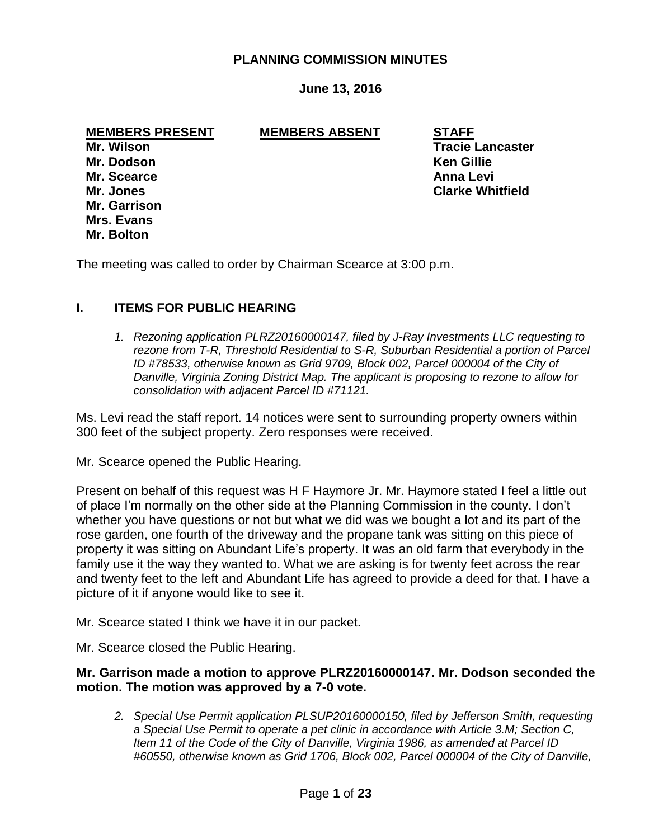# **PLANNING COMMISSION MINUTES**

# **June 13, 2016**

**MEMBERS PRESENT MEMBERS ABSENT STAFF**

**Mr. Dodson Ken Gillie Mr. Scearce Anna Levi Mr. Garrison Mrs. Evans Mr. Bolton**

**Mr. Wilson Tracie Lancaster Mr. Jones Clarke Whitfield**

The meeting was called to order by Chairman Scearce at 3:00 p.m.

### **I. ITEMS FOR PUBLIC HEARING**

*1. Rezoning application PLRZ20160000147, filed by J-Ray Investments LLC requesting to rezone from T-R, Threshold Residential to S-R, Suburban Residential a portion of Parcel ID #78533, otherwise known as Grid 9709, Block 002, Parcel 000004 of the City of Danville, Virginia Zoning District Map. The applicant is proposing to rezone to allow for consolidation with adjacent Parcel ID #71121.* 

Ms. Levi read the staff report. 14 notices were sent to surrounding property owners within 300 feet of the subject property. Zero responses were received.

Mr. Scearce opened the Public Hearing.

Present on behalf of this request was H F Haymore Jr. Mr. Haymore stated I feel a little out of place I'm normally on the other side at the Planning Commission in the county. I don't whether you have questions or not but what we did was we bought a lot and its part of the rose garden, one fourth of the driveway and the propane tank was sitting on this piece of property it was sitting on Abundant Life's property. It was an old farm that everybody in the family use it the way they wanted to. What we are asking is for twenty feet across the rear and twenty feet to the left and Abundant Life has agreed to provide a deed for that. I have a picture of it if anyone would like to see it.

Mr. Scearce stated I think we have it in our packet.

Mr. Scearce closed the Public Hearing.

### **Mr. Garrison made a motion to approve PLRZ20160000147. Mr. Dodson seconded the motion. The motion was approved by a 7-0 vote.**

*2. Special Use Permit application PLSUP20160000150, filed by Jefferson Smith, requesting a Special Use Permit to operate a pet clinic in accordance with Article 3.M; Section C, Item 11 of the Code of the City of Danville, Virginia 1986, as amended at Parcel ID #60550, otherwise known as Grid 1706, Block 002, Parcel 000004 of the City of Danville,*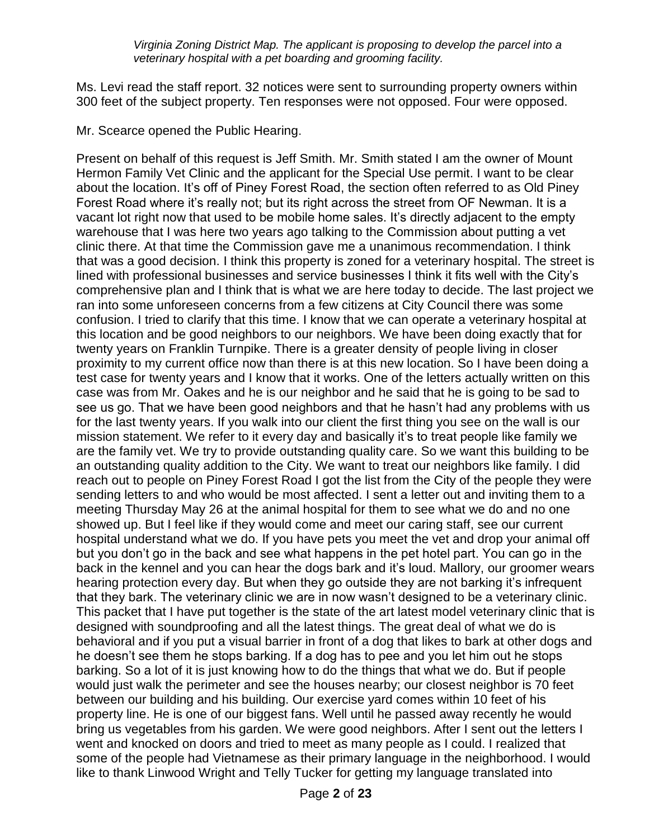*Virginia Zoning District Map. The applicant is proposing to develop the parcel into a veterinary hospital with a pet boarding and grooming facility.* 

Ms. Levi read the staff report. 32 notices were sent to surrounding property owners within 300 feet of the subject property. Ten responses were not opposed. Four were opposed.

Mr. Scearce opened the Public Hearing.

Present on behalf of this request is Jeff Smith. Mr. Smith stated I am the owner of Mount Hermon Family Vet Clinic and the applicant for the Special Use permit. I want to be clear about the location. It's off of Piney Forest Road, the section often referred to as Old Piney Forest Road where it's really not; but its right across the street from OF Newman. It is a vacant lot right now that used to be mobile home sales. It's directly adjacent to the empty warehouse that I was here two years ago talking to the Commission about putting a vet clinic there. At that time the Commission gave me a unanimous recommendation. I think that was a good decision. I think this property is zoned for a veterinary hospital. The street is lined with professional businesses and service businesses I think it fits well with the City's comprehensive plan and I think that is what we are here today to decide. The last project we ran into some unforeseen concerns from a few citizens at City Council there was some confusion. I tried to clarify that this time. I know that we can operate a veterinary hospital at this location and be good neighbors to our neighbors. We have been doing exactly that for twenty years on Franklin Turnpike. There is a greater density of people living in closer proximity to my current office now than there is at this new location. So I have been doing a test case for twenty years and I know that it works. One of the letters actually written on this case was from Mr. Oakes and he is our neighbor and he said that he is going to be sad to see us go. That we have been good neighbors and that he hasn't had any problems with us for the last twenty years. If you walk into our client the first thing you see on the wall is our mission statement. We refer to it every day and basically it's to treat people like family we are the family vet. We try to provide outstanding quality care. So we want this building to be an outstanding quality addition to the City. We want to treat our neighbors like family. I did reach out to people on Piney Forest Road I got the list from the City of the people they were sending letters to and who would be most affected. I sent a letter out and inviting them to a meeting Thursday May 26 at the animal hospital for them to see what we do and no one showed up. But I feel like if they would come and meet our caring staff, see our current hospital understand what we do. If you have pets you meet the vet and drop your animal off but you don't go in the back and see what happens in the pet hotel part. You can go in the back in the kennel and you can hear the dogs bark and it's loud. Mallory, our groomer wears hearing protection every day. But when they go outside they are not barking it's infrequent that they bark. The veterinary clinic we are in now wasn't designed to be a veterinary clinic. This packet that I have put together is the state of the art latest model veterinary clinic that is designed with soundproofing and all the latest things. The great deal of what we do is behavioral and if you put a visual barrier in front of a dog that likes to bark at other dogs and he doesn't see them he stops barking. If a dog has to pee and you let him out he stops barking. So a lot of it is just knowing how to do the things that what we do. But if people would just walk the perimeter and see the houses nearby; our closest neighbor is 70 feet between our building and his building. Our exercise yard comes within 10 feet of his property line. He is one of our biggest fans. Well until he passed away recently he would bring us vegetables from his garden. We were good neighbors. After I sent out the letters I went and knocked on doors and tried to meet as many people as I could. I realized that some of the people had Vietnamese as their primary language in the neighborhood. I would like to thank Linwood Wright and Telly Tucker for getting my language translated into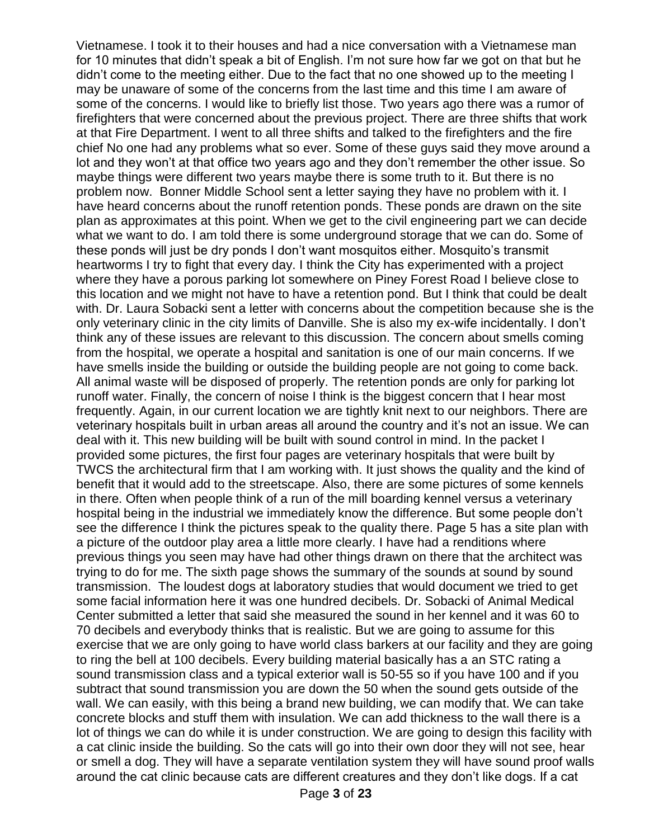Vietnamese. I took it to their houses and had a nice conversation with a Vietnamese man for 10 minutes that didn't speak a bit of English. I'm not sure how far we got on that but he didn't come to the meeting either. Due to the fact that no one showed up to the meeting I may be unaware of some of the concerns from the last time and this time I am aware of some of the concerns. I would like to briefly list those. Two years ago there was a rumor of firefighters that were concerned about the previous project. There are three shifts that work at that Fire Department. I went to all three shifts and talked to the firefighters and the fire chief No one had any problems what so ever. Some of these guys said they move around a lot and they won't at that office two years ago and they don't remember the other issue. So maybe things were different two years maybe there is some truth to it. But there is no problem now. Bonner Middle School sent a letter saying they have no problem with it. I have heard concerns about the runoff retention ponds. These ponds are drawn on the site plan as approximates at this point. When we get to the civil engineering part we can decide what we want to do. I am told there is some underground storage that we can do. Some of these ponds will just be dry ponds I don't want mosquitos either. Mosquito's transmit heartworms I try to fight that every day. I think the City has experimented with a project where they have a porous parking lot somewhere on Piney Forest Road I believe close to this location and we might not have to have a retention pond. But I think that could be dealt with. Dr. Laura Sobacki sent a letter with concerns about the competition because she is the only veterinary clinic in the city limits of Danville. She is also my ex-wife incidentally. I don't think any of these issues are relevant to this discussion. The concern about smells coming from the hospital, we operate a hospital and sanitation is one of our main concerns. If we have smells inside the building or outside the building people are not going to come back. All animal waste will be disposed of properly. The retention ponds are only for parking lot runoff water. Finally, the concern of noise I think is the biggest concern that I hear most frequently. Again, in our current location we are tightly knit next to our neighbors. There are veterinary hospitals built in urban areas all around the country and it's not an issue. We can deal with it. This new building will be built with sound control in mind. In the packet I provided some pictures, the first four pages are veterinary hospitals that were built by TWCS the architectural firm that I am working with. It just shows the quality and the kind of benefit that it would add to the streetscape. Also, there are some pictures of some kennels in there. Often when people think of a run of the mill boarding kennel versus a veterinary hospital being in the industrial we immediately know the difference. But some people don't see the difference I think the pictures speak to the quality there. Page 5 has a site plan with a picture of the outdoor play area a little more clearly. I have had a renditions where previous things you seen may have had other things drawn on there that the architect was trying to do for me. The sixth page shows the summary of the sounds at sound by sound transmission. The loudest dogs at laboratory studies that would document we tried to get some facial information here it was one hundred decibels. Dr. Sobacki of Animal Medical Center submitted a letter that said she measured the sound in her kennel and it was 60 to 70 decibels and everybody thinks that is realistic. But we are going to assume for this exercise that we are only going to have world class barkers at our facility and they are going to ring the bell at 100 decibels. Every building material basically has a an STC rating a sound transmission class and a typical exterior wall is 50-55 so if you have 100 and if you subtract that sound transmission you are down the 50 when the sound gets outside of the wall. We can easily, with this being a brand new building, we can modify that. We can take concrete blocks and stuff them with insulation. We can add thickness to the wall there is a lot of things we can do while it is under construction. We are going to design this facility with a cat clinic inside the building. So the cats will go into their own door they will not see, hear or smell a dog. They will have a separate ventilation system they will have sound proof walls around the cat clinic because cats are different creatures and they don't like dogs. If a cat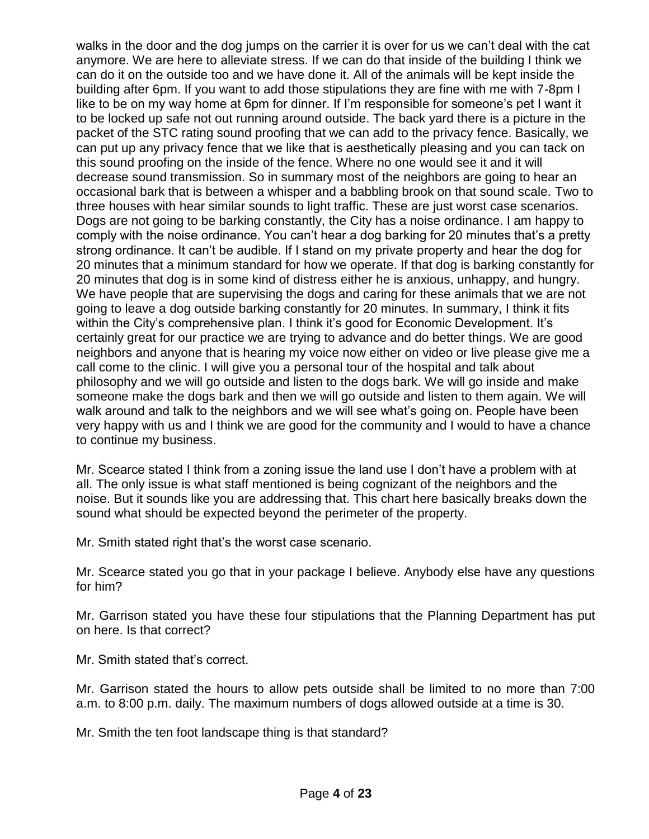walks in the door and the dog jumps on the carrier it is over for us we can't deal with the cat anymore. We are here to alleviate stress. If we can do that inside of the building I think we can do it on the outside too and we have done it. All of the animals will be kept inside the building after 6pm. If you want to add those stipulations they are fine with me with 7-8pm I like to be on my way home at 6pm for dinner. If I'm responsible for someone's pet I want it to be locked up safe not out running around outside. The back yard there is a picture in the packet of the STC rating sound proofing that we can add to the privacy fence. Basically, we can put up any privacy fence that we like that is aesthetically pleasing and you can tack on this sound proofing on the inside of the fence. Where no one would see it and it will decrease sound transmission. So in summary most of the neighbors are going to hear an occasional bark that is between a whisper and a babbling brook on that sound scale. Two to three houses with hear similar sounds to light traffic. These are just worst case scenarios. Dogs are not going to be barking constantly, the City has a noise ordinance. I am happy to comply with the noise ordinance. You can't hear a dog barking for 20 minutes that's a pretty strong ordinance. It can't be audible. If I stand on my private property and hear the dog for 20 minutes that a minimum standard for how we operate. If that dog is barking constantly for 20 minutes that dog is in some kind of distress either he is anxious, unhappy, and hungry. We have people that are supervising the dogs and caring for these animals that we are not going to leave a dog outside barking constantly for 20 minutes. In summary, I think it fits within the City's comprehensive plan. I think it's good for Economic Development. It's certainly great for our practice we are trying to advance and do better things. We are good neighbors and anyone that is hearing my voice now either on video or live please give me a call come to the clinic. I will give you a personal tour of the hospital and talk about philosophy and we will go outside and listen to the dogs bark. We will go inside and make someone make the dogs bark and then we will go outside and listen to them again. We will walk around and talk to the neighbors and we will see what's going on. People have been very happy with us and I think we are good for the community and I would to have a chance to continue my business.

Mr. Scearce stated I think from a zoning issue the land use I don't have a problem with at all. The only issue is what staff mentioned is being cognizant of the neighbors and the noise. But it sounds like you are addressing that. This chart here basically breaks down the sound what should be expected beyond the perimeter of the property.

Mr. Smith stated right that's the worst case scenario.

Mr. Scearce stated you go that in your package I believe. Anybody else have any questions for him?

Mr. Garrison stated you have these four stipulations that the Planning Department has put on here. Is that correct?

Mr. Smith stated that's correct.

Mr. Garrison stated the hours to allow pets outside shall be limited to no more than 7:00 a.m. to 8:00 p.m. daily. The maximum numbers of dogs allowed outside at a time is 30.

Mr. Smith the ten foot landscape thing is that standard?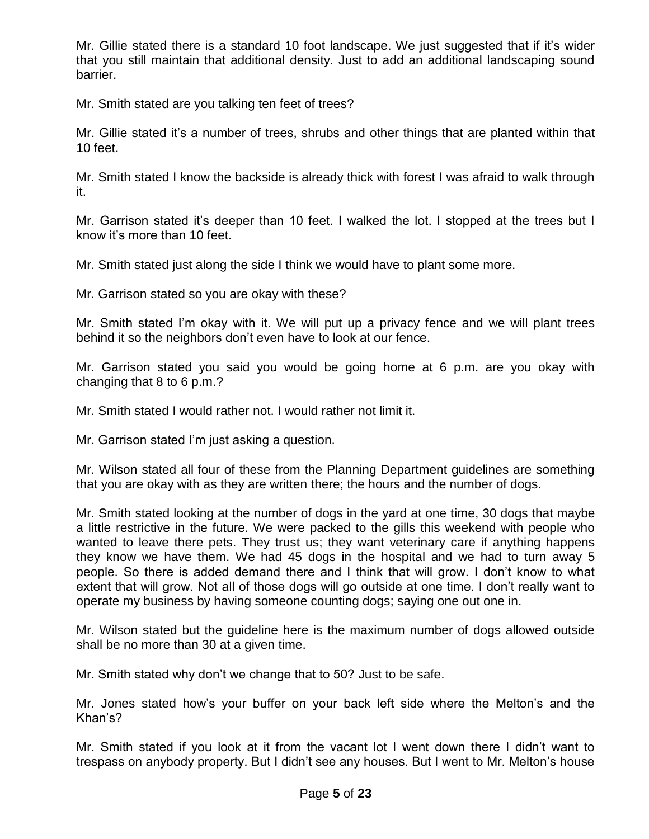Mr. Gillie stated there is a standard 10 foot landscape. We just suggested that if it's wider that you still maintain that additional density. Just to add an additional landscaping sound barrier.

Mr. Smith stated are you talking ten feet of trees?

Mr. Gillie stated it's a number of trees, shrubs and other things that are planted within that 10 feet.

Mr. Smith stated I know the backside is already thick with forest I was afraid to walk through it.

Mr. Garrison stated it's deeper than 10 feet. I walked the lot. I stopped at the trees but I know it's more than 10 feet.

Mr. Smith stated just along the side I think we would have to plant some more.

Mr. Garrison stated so you are okay with these?

Mr. Smith stated I'm okay with it. We will put up a privacy fence and we will plant trees behind it so the neighbors don't even have to look at our fence.

Mr. Garrison stated you said you would be going home at 6 p.m. are you okay with changing that 8 to 6 p.m.?

Mr. Smith stated I would rather not. I would rather not limit it.

Mr. Garrison stated I'm just asking a question.

Mr. Wilson stated all four of these from the Planning Department guidelines are something that you are okay with as they are written there; the hours and the number of dogs.

Mr. Smith stated looking at the number of dogs in the yard at one time, 30 dogs that maybe a little restrictive in the future. We were packed to the gills this weekend with people who wanted to leave there pets. They trust us; they want veterinary care if anything happens they know we have them. We had 45 dogs in the hospital and we had to turn away 5 people. So there is added demand there and I think that will grow. I don't know to what extent that will grow. Not all of those dogs will go outside at one time. I don't really want to operate my business by having someone counting dogs; saying one out one in.

Mr. Wilson stated but the guideline here is the maximum number of dogs allowed outside shall be no more than 30 at a given time.

Mr. Smith stated why don't we change that to 50? Just to be safe.

Mr. Jones stated how's your buffer on your back left side where the Melton's and the Khan's?

Mr. Smith stated if you look at it from the vacant lot I went down there I didn't want to trespass on anybody property. But I didn't see any houses. But I went to Mr. Melton's house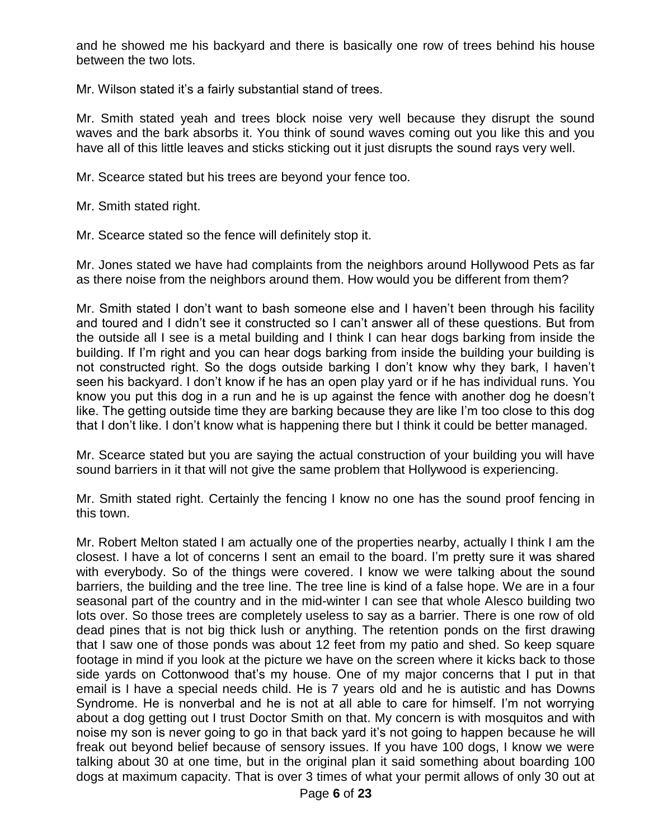and he showed me his backyard and there is basically one row of trees behind his house between the two lots.

Mr. Wilson stated it's a fairly substantial stand of trees.

Mr. Smith stated yeah and trees block noise very well because they disrupt the sound waves and the bark absorbs it. You think of sound waves coming out you like this and you have all of this little leaves and sticks sticking out it just disrupts the sound rays very well.

Mr. Scearce stated but his trees are beyond your fence too.

Mr. Smith stated right.

Mr. Scearce stated so the fence will definitely stop it.

Mr. Jones stated we have had complaints from the neighbors around Hollywood Pets as far as there noise from the neighbors around them. How would you be different from them?

Mr. Smith stated I don't want to bash someone else and I haven't been through his facility and toured and I didn't see it constructed so I can't answer all of these questions. But from the outside all I see is a metal building and I think I can hear dogs barking from inside the building. If I'm right and you can hear dogs barking from inside the building your building is not constructed right. So the dogs outside barking I don't know why they bark, I haven't seen his backyard. I don't know if he has an open play yard or if he has individual runs. You know you put this dog in a run and he is up against the fence with another dog he doesn't like. The getting outside time they are barking because they are like I'm too close to this dog that I don't like. I don't know what is happening there but I think it could be better managed.

Mr. Scearce stated but you are saying the actual construction of your building you will have sound barriers in it that will not give the same problem that Hollywood is experiencing.

Mr. Smith stated right. Certainly the fencing I know no one has the sound proof fencing in this town.

Mr. Robert Melton stated I am actually one of the properties nearby, actually I think I am the closest. I have a lot of concerns I sent an email to the board. I'm pretty sure it was shared with everybody. So of the things were covered. I know we were talking about the sound barriers, the building and the tree line. The tree line is kind of a false hope. We are in a four seasonal part of the country and in the mid-winter I can see that whole Alesco building two lots over. So those trees are completely useless to say as a barrier. There is one row of old dead pines that is not big thick lush or anything. The retention ponds on the first drawing that I saw one of those ponds was about 12 feet from my patio and shed. So keep square footage in mind if you look at the picture we have on the screen where it kicks back to those side yards on Cottonwood that's my house. One of my major concerns that I put in that email is I have a special needs child. He is 7 years old and he is autistic and has Downs Syndrome. He is nonverbal and he is not at all able to care for himself. I'm not worrying about a dog getting out I trust Doctor Smith on that. My concern is with mosquitos and with noise my son is never going to go in that back yard it's not going to happen because he will freak out beyond belief because of sensory issues. If you have 100 dogs, I know we were talking about 30 at one time, but in the original plan it said something about boarding 100 dogs at maximum capacity. That is over 3 times of what your permit allows of only 30 out at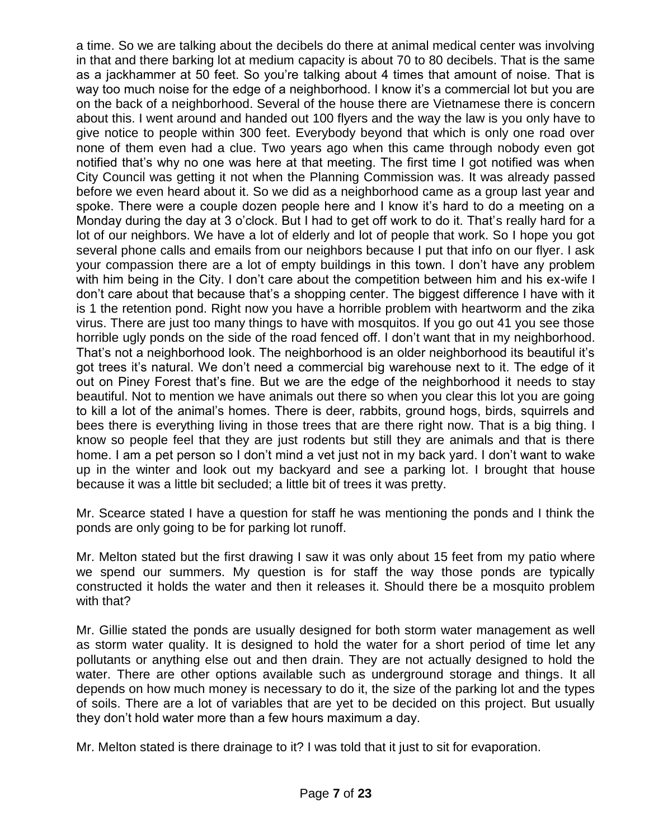a time. So we are talking about the decibels do there at animal medical center was involving in that and there barking lot at medium capacity is about 70 to 80 decibels. That is the same as a jackhammer at 50 feet. So you're talking about 4 times that amount of noise. That is way too much noise for the edge of a neighborhood. I know it's a commercial lot but you are on the back of a neighborhood. Several of the house there are Vietnamese there is concern about this. I went around and handed out 100 flyers and the way the law is you only have to give notice to people within 300 feet. Everybody beyond that which is only one road over none of them even had a clue. Two years ago when this came through nobody even got notified that's why no one was here at that meeting. The first time I got notified was when City Council was getting it not when the Planning Commission was. It was already passed before we even heard about it. So we did as a neighborhood came as a group last year and spoke. There were a couple dozen people here and I know it's hard to do a meeting on a Monday during the day at 3 o'clock. But I had to get off work to do it. That's really hard for a lot of our neighbors. We have a lot of elderly and lot of people that work. So I hope you got several phone calls and emails from our neighbors because I put that info on our flyer. I ask your compassion there are a lot of empty buildings in this town. I don't have any problem with him being in the City. I don't care about the competition between him and his ex-wife I don't care about that because that's a shopping center. The biggest difference I have with it is 1 the retention pond. Right now you have a horrible problem with heartworm and the zika virus. There are just too many things to have with mosquitos. If you go out 41 you see those horrible ugly ponds on the side of the road fenced off. I don't want that in my neighborhood. That's not a neighborhood look. The neighborhood is an older neighborhood its beautiful it's got trees it's natural. We don't need a commercial big warehouse next to it. The edge of it out on Piney Forest that's fine. But we are the edge of the neighborhood it needs to stay beautiful. Not to mention we have animals out there so when you clear this lot you are going to kill a lot of the animal's homes. There is deer, rabbits, ground hogs, birds, squirrels and bees there is everything living in those trees that are there right now. That is a big thing. I know so people feel that they are just rodents but still they are animals and that is there home. I am a pet person so I don't mind a vet just not in my back yard. I don't want to wake up in the winter and look out my backyard and see a parking lot. I brought that house because it was a little bit secluded; a little bit of trees it was pretty.

Mr. Scearce stated I have a question for staff he was mentioning the ponds and I think the ponds are only going to be for parking lot runoff.

Mr. Melton stated but the first drawing I saw it was only about 15 feet from my patio where we spend our summers. My question is for staff the way those ponds are typically constructed it holds the water and then it releases it. Should there be a mosquito problem with that?

Mr. Gillie stated the ponds are usually designed for both storm water management as well as storm water quality. It is designed to hold the water for a short period of time let any pollutants or anything else out and then drain. They are not actually designed to hold the water. There are other options available such as underground storage and things. It all depends on how much money is necessary to do it, the size of the parking lot and the types of soils. There are a lot of variables that are yet to be decided on this project. But usually they don't hold water more than a few hours maximum a day.

Mr. Melton stated is there drainage to it? I was told that it just to sit for evaporation.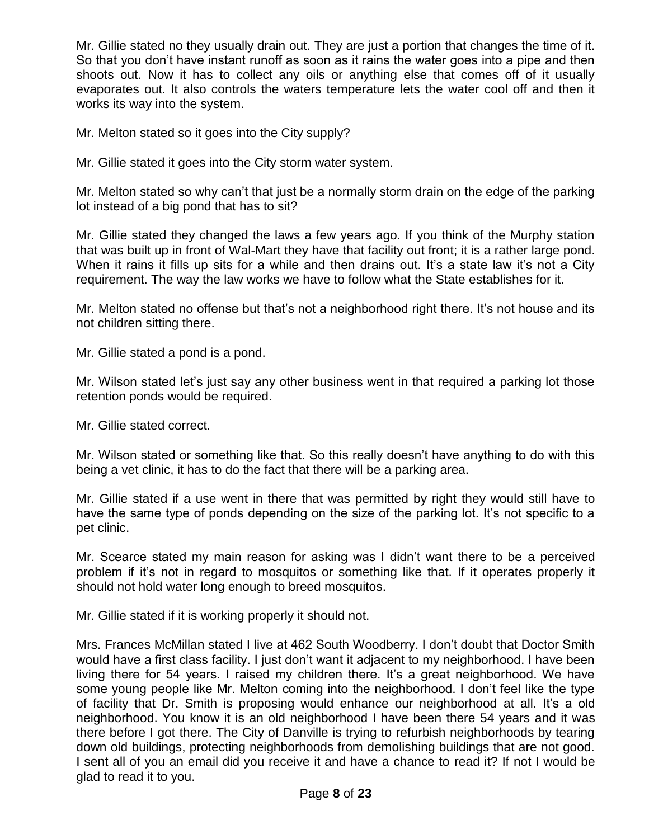Mr. Gillie stated no they usually drain out. They are just a portion that changes the time of it. So that you don't have instant runoff as soon as it rains the water goes into a pipe and then shoots out. Now it has to collect any oils or anything else that comes off of it usually evaporates out. It also controls the waters temperature lets the water cool off and then it works its way into the system.

Mr. Melton stated so it goes into the City supply?

Mr. Gillie stated it goes into the City storm water system.

Mr. Melton stated so why can't that just be a normally storm drain on the edge of the parking lot instead of a big pond that has to sit?

Mr. Gillie stated they changed the laws a few years ago. If you think of the Murphy station that was built up in front of Wal-Mart they have that facility out front; it is a rather large pond. When it rains it fills up sits for a while and then drains out. It's a state law it's not a City requirement. The way the law works we have to follow what the State establishes for it.

Mr. Melton stated no offense but that's not a neighborhood right there. It's not house and its not children sitting there.

Mr. Gillie stated a pond is a pond.

Mr. Wilson stated let's just say any other business went in that required a parking lot those retention ponds would be required.

Mr. Gillie stated correct.

Mr. Wilson stated or something like that. So this really doesn't have anything to do with this being a vet clinic, it has to do the fact that there will be a parking area.

Mr. Gillie stated if a use went in there that was permitted by right they would still have to have the same type of ponds depending on the size of the parking lot. It's not specific to a pet clinic.

Mr. Scearce stated my main reason for asking was I didn't want there to be a perceived problem if it's not in regard to mosquitos or something like that. If it operates properly it should not hold water long enough to breed mosquitos.

Mr. Gillie stated if it is working properly it should not.

Mrs. Frances McMillan stated I live at 462 South Woodberry. I don't doubt that Doctor Smith would have a first class facility. I just don't want it adjacent to my neighborhood. I have been living there for 54 years. I raised my children there. It's a great neighborhood. We have some young people like Mr. Melton coming into the neighborhood. I don't feel like the type of facility that Dr. Smith is proposing would enhance our neighborhood at all. It's a old neighborhood. You know it is an old neighborhood I have been there 54 years and it was there before I got there. The City of Danville is trying to refurbish neighborhoods by tearing down old buildings, protecting neighborhoods from demolishing buildings that are not good. I sent all of you an email did you receive it and have a chance to read it? If not I would be glad to read it to you.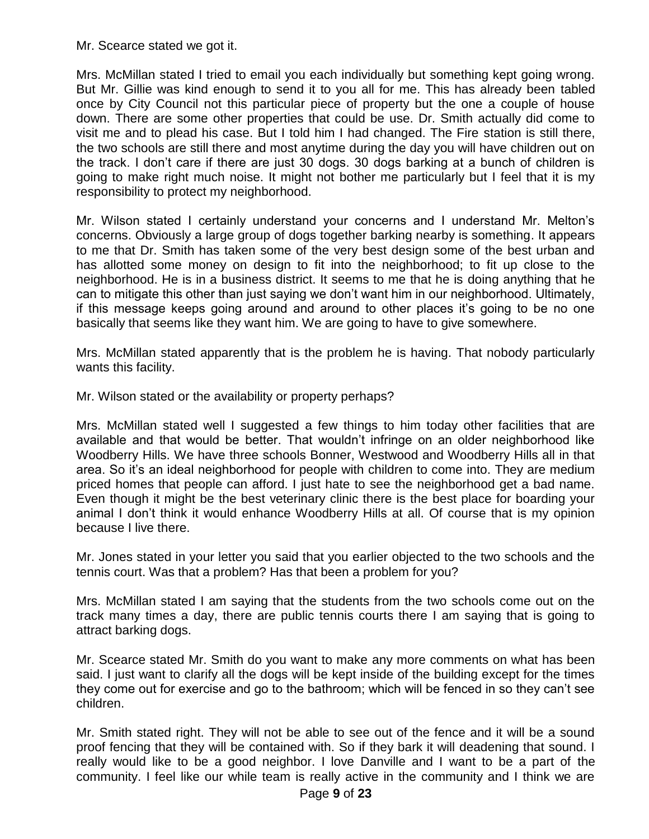Mr. Scearce stated we got it.

Mrs. McMillan stated I tried to email you each individually but something kept going wrong. But Mr. Gillie was kind enough to send it to you all for me. This has already been tabled once by City Council not this particular piece of property but the one a couple of house down. There are some other properties that could be use. Dr. Smith actually did come to visit me and to plead his case. But I told him I had changed. The Fire station is still there, the two schools are still there and most anytime during the day you will have children out on the track. I don't care if there are just 30 dogs. 30 dogs barking at a bunch of children is going to make right much noise. It might not bother me particularly but I feel that it is my responsibility to protect my neighborhood.

Mr. Wilson stated I certainly understand your concerns and I understand Mr. Melton's concerns. Obviously a large group of dogs together barking nearby is something. It appears to me that Dr. Smith has taken some of the very best design some of the best urban and has allotted some money on design to fit into the neighborhood; to fit up close to the neighborhood. He is in a business district. It seems to me that he is doing anything that he can to mitigate this other than just saying we don't want him in our neighborhood. Ultimately, if this message keeps going around and around to other places it's going to be no one basically that seems like they want him. We are going to have to give somewhere.

Mrs. McMillan stated apparently that is the problem he is having. That nobody particularly wants this facility.

Mr. Wilson stated or the availability or property perhaps?

Mrs. McMillan stated well I suggested a few things to him today other facilities that are available and that would be better. That wouldn't infringe on an older neighborhood like Woodberry Hills. We have three schools Bonner, Westwood and Woodberry Hills all in that area. So it's an ideal neighborhood for people with children to come into. They are medium priced homes that people can afford. I just hate to see the neighborhood get a bad name. Even though it might be the best veterinary clinic there is the best place for boarding your animal I don't think it would enhance Woodberry Hills at all. Of course that is my opinion because I live there.

Mr. Jones stated in your letter you said that you earlier objected to the two schools and the tennis court. Was that a problem? Has that been a problem for you?

Mrs. McMillan stated I am saying that the students from the two schools come out on the track many times a day, there are public tennis courts there I am saying that is going to attract barking dogs.

Mr. Scearce stated Mr. Smith do you want to make any more comments on what has been said. I just want to clarify all the dogs will be kept inside of the building except for the times they come out for exercise and go to the bathroom; which will be fenced in so they can't see children.

Mr. Smith stated right. They will not be able to see out of the fence and it will be a sound proof fencing that they will be contained with. So if they bark it will deadening that sound. I really would like to be a good neighbor. I love Danville and I want to be a part of the community. I feel like our while team is really active in the community and I think we are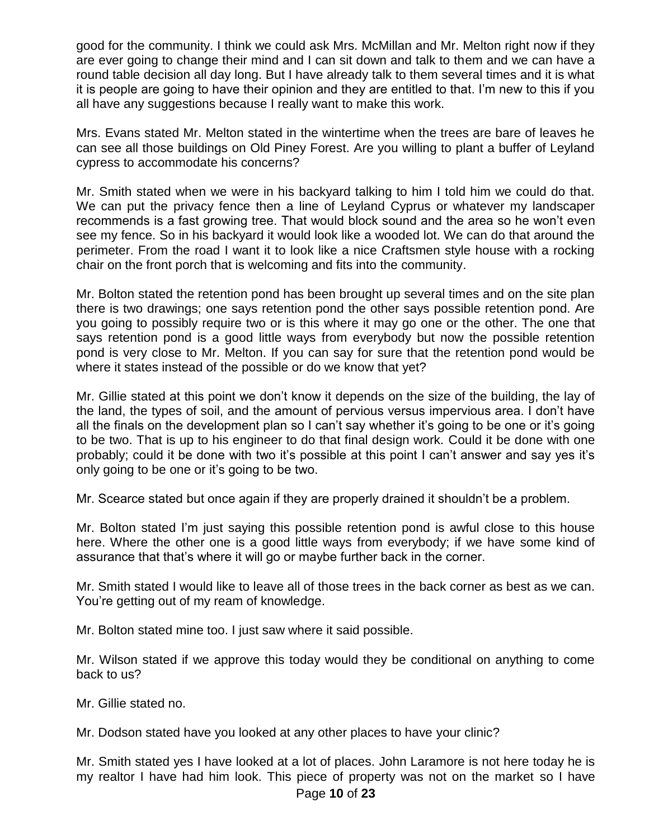good for the community. I think we could ask Mrs. McMillan and Mr. Melton right now if they are ever going to change their mind and I can sit down and talk to them and we can have a round table decision all day long. But I have already talk to them several times and it is what it is people are going to have their opinion and they are entitled to that. I'm new to this if you all have any suggestions because I really want to make this work.

Mrs. Evans stated Mr. Melton stated in the wintertime when the trees are bare of leaves he can see all those buildings on Old Piney Forest. Are you willing to plant a buffer of Leyland cypress to accommodate his concerns?

Mr. Smith stated when we were in his backyard talking to him I told him we could do that. We can put the privacy fence then a line of Leyland Cyprus or whatever my landscaper recommends is a fast growing tree. That would block sound and the area so he won't even see my fence. So in his backyard it would look like a wooded lot. We can do that around the perimeter. From the road I want it to look like a nice Craftsmen style house with a rocking chair on the front porch that is welcoming and fits into the community.

Mr. Bolton stated the retention pond has been brought up several times and on the site plan there is two drawings; one says retention pond the other says possible retention pond. Are you going to possibly require two or is this where it may go one or the other. The one that says retention pond is a good little ways from everybody but now the possible retention pond is very close to Mr. Melton. If you can say for sure that the retention pond would be where it states instead of the possible or do we know that yet?

Mr. Gillie stated at this point we don't know it depends on the size of the building, the lay of the land, the types of soil, and the amount of pervious versus impervious area. I don't have all the finals on the development plan so I can't say whether it's going to be one or it's going to be two. That is up to his engineer to do that final design work. Could it be done with one probably; could it be done with two it's possible at this point I can't answer and say yes it's only going to be one or it's going to be two.

Mr. Scearce stated but once again if they are properly drained it shouldn't be a problem.

Mr. Bolton stated I'm just saying this possible retention pond is awful close to this house here. Where the other one is a good little ways from everybody; if we have some kind of assurance that that's where it will go or maybe further back in the corner.

Mr. Smith stated I would like to leave all of those trees in the back corner as best as we can. You're getting out of my ream of knowledge.

Mr. Bolton stated mine too. I just saw where it said possible.

Mr. Wilson stated if we approve this today would they be conditional on anything to come back to us?

Mr. Gillie stated no.

Mr. Dodson stated have you looked at any other places to have your clinic?

Mr. Smith stated yes I have looked at a lot of places. John Laramore is not here today he is my realtor I have had him look. This piece of property was not on the market so I have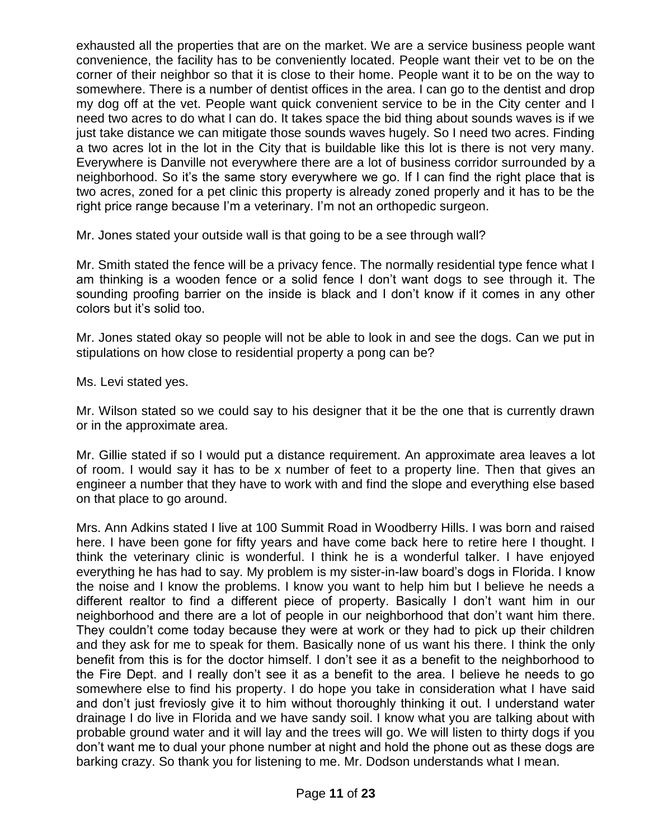exhausted all the properties that are on the market. We are a service business people want convenience, the facility has to be conveniently located. People want their vet to be on the corner of their neighbor so that it is close to their home. People want it to be on the way to somewhere. There is a number of dentist offices in the area. I can go to the dentist and drop my dog off at the vet. People want quick convenient service to be in the City center and I need two acres to do what I can do. It takes space the bid thing about sounds waves is if we just take distance we can mitigate those sounds waves hugely. So I need two acres. Finding a two acres lot in the lot in the City that is buildable like this lot is there is not very many. Everywhere is Danville not everywhere there are a lot of business corridor surrounded by a neighborhood. So it's the same story everywhere we go. If I can find the right place that is two acres, zoned for a pet clinic this property is already zoned properly and it has to be the right price range because I'm a veterinary. I'm not an orthopedic surgeon.

Mr. Jones stated your outside wall is that going to be a see through wall?

Mr. Smith stated the fence will be a privacy fence. The normally residential type fence what I am thinking is a wooden fence or a solid fence I don't want dogs to see through it. The sounding proofing barrier on the inside is black and I don't know if it comes in any other colors but it's solid too.

Mr. Jones stated okay so people will not be able to look in and see the dogs. Can we put in stipulations on how close to residential property a pong can be?

Ms. Levi stated yes.

Mr. Wilson stated so we could say to his designer that it be the one that is currently drawn or in the approximate area.

Mr. Gillie stated if so I would put a distance requirement. An approximate area leaves a lot of room. I would say it has to be x number of feet to a property line. Then that gives an engineer a number that they have to work with and find the slope and everything else based on that place to go around.

Mrs. Ann Adkins stated I live at 100 Summit Road in Woodberry Hills. I was born and raised here. I have been gone for fifty years and have come back here to retire here I thought. I think the veterinary clinic is wonderful. I think he is a wonderful talker. I have enjoyed everything he has had to say. My problem is my sister-in-law board's dogs in Florida. I know the noise and I know the problems. I know you want to help him but I believe he needs a different realtor to find a different piece of property. Basically I don't want him in our neighborhood and there are a lot of people in our neighborhood that don't want him there. They couldn't come today because they were at work or they had to pick up their children and they ask for me to speak for them. Basically none of us want his there. I think the only benefit from this is for the doctor himself. I don't see it as a benefit to the neighborhood to the Fire Dept. and I really don't see it as a benefit to the area. I believe he needs to go somewhere else to find his property. I do hope you take in consideration what I have said and don't just freviosly give it to him without thoroughly thinking it out. I understand water drainage I do live in Florida and we have sandy soil. I know what you are talking about with probable ground water and it will lay and the trees will go. We will listen to thirty dogs if you don't want me to dual your phone number at night and hold the phone out as these dogs are barking crazy. So thank you for listening to me. Mr. Dodson understands what I mean.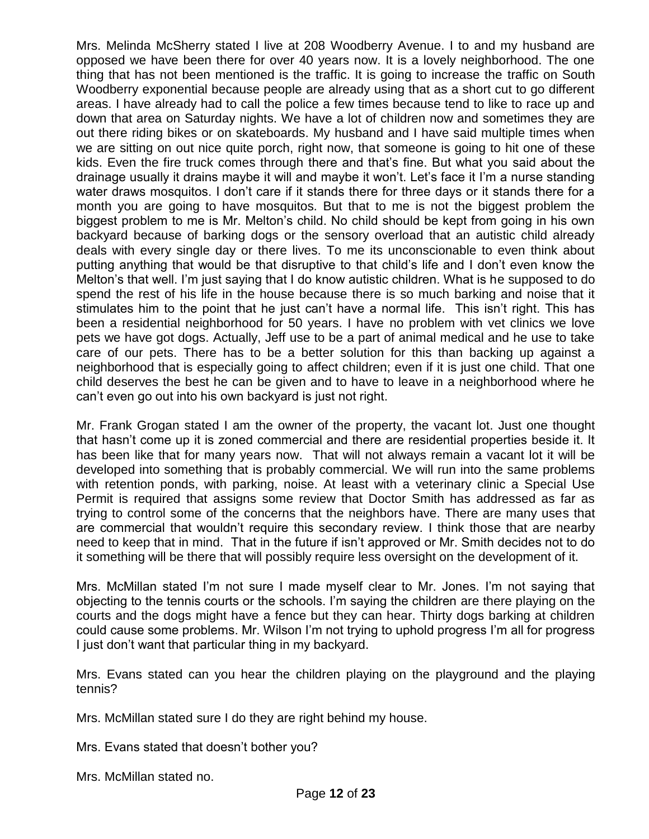Mrs. Melinda McSherry stated I live at 208 Woodberry Avenue. I to and my husband are opposed we have been there for over 40 years now. It is a lovely neighborhood. The one thing that has not been mentioned is the traffic. It is going to increase the traffic on South Woodberry exponential because people are already using that as a short cut to go different areas. I have already had to call the police a few times because tend to like to race up and down that area on Saturday nights. We have a lot of children now and sometimes they are out there riding bikes or on skateboards. My husband and I have said multiple times when we are sitting on out nice quite porch, right now, that someone is going to hit one of these kids. Even the fire truck comes through there and that's fine. But what you said about the drainage usually it drains maybe it will and maybe it won't. Let's face it I'm a nurse standing water draws mosquitos. I don't care if it stands there for three days or it stands there for a month you are going to have mosquitos. But that to me is not the biggest problem the biggest problem to me is Mr. Melton's child. No child should be kept from going in his own backyard because of barking dogs or the sensory overload that an autistic child already deals with every single day or there lives. To me its unconscionable to even think about putting anything that would be that disruptive to that child's life and I don't even know the Melton's that well. I'm just saying that I do know autistic children. What is he supposed to do spend the rest of his life in the house because there is so much barking and noise that it stimulates him to the point that he just can't have a normal life. This isn't right. This has been a residential neighborhood for 50 years. I have no problem with vet clinics we love pets we have got dogs. Actually, Jeff use to be a part of animal medical and he use to take care of our pets. There has to be a better solution for this than backing up against a neighborhood that is especially going to affect children; even if it is just one child. That one child deserves the best he can be given and to have to leave in a neighborhood where he can't even go out into his own backyard is just not right.

Mr. Frank Grogan stated I am the owner of the property, the vacant lot. Just one thought that hasn't come up it is zoned commercial and there are residential properties beside it. It has been like that for many years now. That will not always remain a vacant lot it will be developed into something that is probably commercial. We will run into the same problems with retention ponds, with parking, noise. At least with a veterinary clinic a Special Use Permit is required that assigns some review that Doctor Smith has addressed as far as trying to control some of the concerns that the neighbors have. There are many uses that are commercial that wouldn't require this secondary review. I think those that are nearby need to keep that in mind. That in the future if isn't approved or Mr. Smith decides not to do it something will be there that will possibly require less oversight on the development of it.

Mrs. McMillan stated I'm not sure I made myself clear to Mr. Jones. I'm not saying that objecting to the tennis courts or the schools. I'm saying the children are there playing on the courts and the dogs might have a fence but they can hear. Thirty dogs barking at children could cause some problems. Mr. Wilson I'm not trying to uphold progress I'm all for progress I just don't want that particular thing in my backyard.

Mrs. Evans stated can you hear the children playing on the playground and the playing tennis?

Mrs. McMillan stated sure I do they are right behind my house.

Mrs. Evans stated that doesn't bother you?

Mrs. McMillan stated no.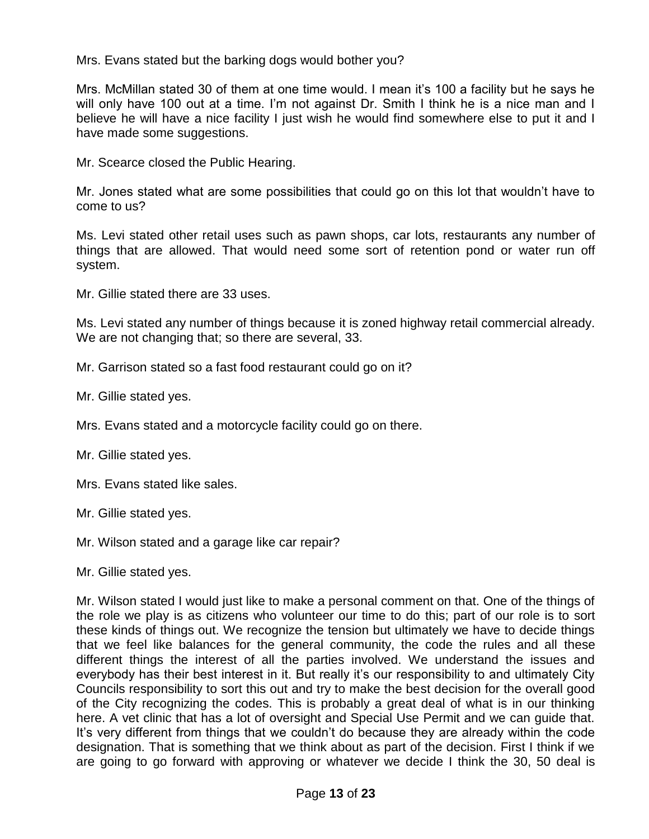Mrs. Evans stated but the barking dogs would bother you?

Mrs. McMillan stated 30 of them at one time would. I mean it's 100 a facility but he says he will only have 100 out at a time. I'm not against Dr. Smith I think he is a nice man and I believe he will have a nice facility I just wish he would find somewhere else to put it and I have made some suggestions.

Mr. Scearce closed the Public Hearing.

Mr. Jones stated what are some possibilities that could go on this lot that wouldn't have to come to us?

Ms. Levi stated other retail uses such as pawn shops, car lots, restaurants any number of things that are allowed. That would need some sort of retention pond or water run off system.

Mr. Gillie stated there are 33 uses.

Ms. Levi stated any number of things because it is zoned highway retail commercial already. We are not changing that; so there are several, 33.

Mr. Garrison stated so a fast food restaurant could go on it?

Mr. Gillie stated yes.

Mrs. Evans stated and a motorcycle facility could go on there.

Mr. Gillie stated yes.

Mrs. Evans stated like sales.

Mr. Gillie stated yes.

Mr. Wilson stated and a garage like car repair?

Mr. Gillie stated yes.

Mr. Wilson stated I would just like to make a personal comment on that. One of the things of the role we play is as citizens who volunteer our time to do this; part of our role is to sort these kinds of things out. We recognize the tension but ultimately we have to decide things that we feel like balances for the general community, the code the rules and all these different things the interest of all the parties involved. We understand the issues and everybody has their best interest in it. But really it's our responsibility to and ultimately City Councils responsibility to sort this out and try to make the best decision for the overall good of the City recognizing the codes. This is probably a great deal of what is in our thinking here. A vet clinic that has a lot of oversight and Special Use Permit and we can guide that. It's very different from things that we couldn't do because they are already within the code designation. That is something that we think about as part of the decision. First I think if we are going to go forward with approving or whatever we decide I think the 30, 50 deal is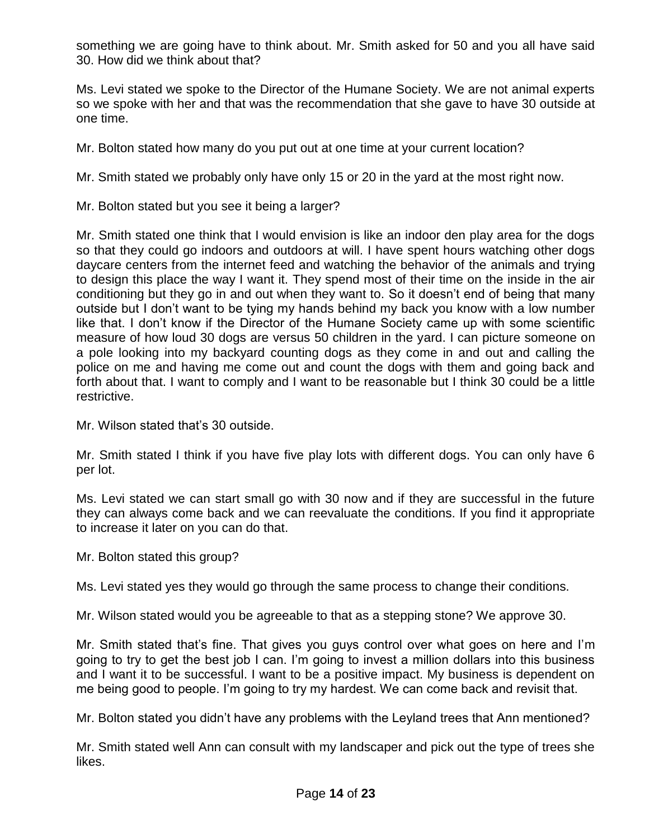something we are going have to think about. Mr. Smith asked for 50 and you all have said 30. How did we think about that?

Ms. Levi stated we spoke to the Director of the Humane Society. We are not animal experts so we spoke with her and that was the recommendation that she gave to have 30 outside at one time.

Mr. Bolton stated how many do you put out at one time at your current location?

Mr. Smith stated we probably only have only 15 or 20 in the yard at the most right now.

Mr. Bolton stated but you see it being a larger?

Mr. Smith stated one think that I would envision is like an indoor den play area for the dogs so that they could go indoors and outdoors at will. I have spent hours watching other dogs daycare centers from the internet feed and watching the behavior of the animals and trying to design this place the way I want it. They spend most of their time on the inside in the air conditioning but they go in and out when they want to. So it doesn't end of being that many outside but I don't want to be tying my hands behind my back you know with a low number like that. I don't know if the Director of the Humane Society came up with some scientific measure of how loud 30 dogs are versus 50 children in the yard. I can picture someone on a pole looking into my backyard counting dogs as they come in and out and calling the police on me and having me come out and count the dogs with them and going back and forth about that. I want to comply and I want to be reasonable but I think 30 could be a little restrictive.

Mr. Wilson stated that's 30 outside.

Mr. Smith stated I think if you have five play lots with different dogs. You can only have 6 per lot.

Ms. Levi stated we can start small go with 30 now and if they are successful in the future they can always come back and we can reevaluate the conditions. If you find it appropriate to increase it later on you can do that.

Mr. Bolton stated this group?

Ms. Levi stated yes they would go through the same process to change their conditions.

Mr. Wilson stated would you be agreeable to that as a stepping stone? We approve 30.

Mr. Smith stated that's fine. That gives you guys control over what goes on here and I'm going to try to get the best job I can. I'm going to invest a million dollars into this business and I want it to be successful. I want to be a positive impact. My business is dependent on me being good to people. I'm going to try my hardest. We can come back and revisit that.

Mr. Bolton stated you didn't have any problems with the Leyland trees that Ann mentioned?

Mr. Smith stated well Ann can consult with my landscaper and pick out the type of trees she likes.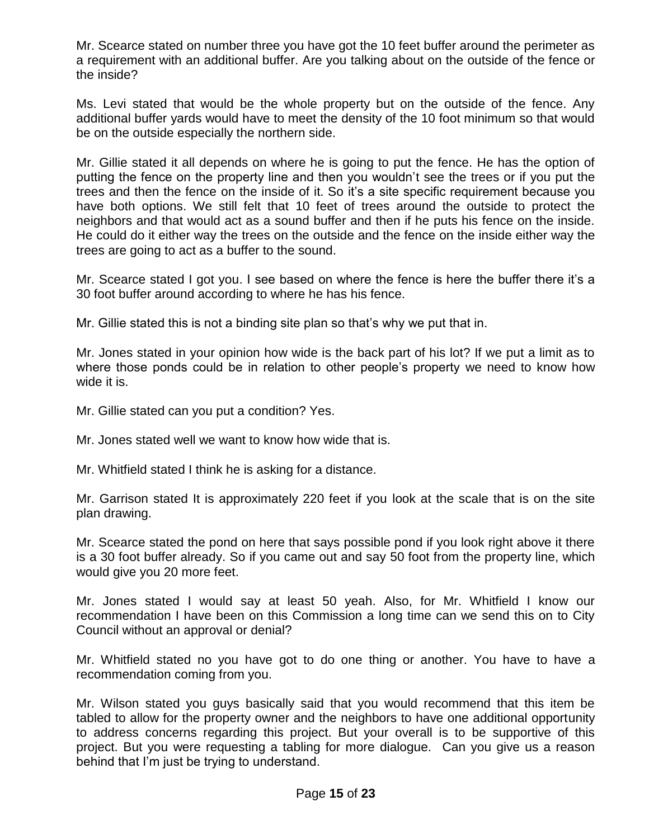Mr. Scearce stated on number three you have got the 10 feet buffer around the perimeter as a requirement with an additional buffer. Are you talking about on the outside of the fence or the inside?

Ms. Levi stated that would be the whole property but on the outside of the fence. Any additional buffer yards would have to meet the density of the 10 foot minimum so that would be on the outside especially the northern side.

Mr. Gillie stated it all depends on where he is going to put the fence. He has the option of putting the fence on the property line and then you wouldn't see the trees or if you put the trees and then the fence on the inside of it. So it's a site specific requirement because you have both options. We still felt that 10 feet of trees around the outside to protect the neighbors and that would act as a sound buffer and then if he puts his fence on the inside. He could do it either way the trees on the outside and the fence on the inside either way the trees are going to act as a buffer to the sound.

Mr. Scearce stated I got you. I see based on where the fence is here the buffer there it's a 30 foot buffer around according to where he has his fence.

Mr. Gillie stated this is not a binding site plan so that's why we put that in.

Mr. Jones stated in your opinion how wide is the back part of his lot? If we put a limit as to where those ponds could be in relation to other people's property we need to know how wide it is.

Mr. Gillie stated can you put a condition? Yes.

Mr. Jones stated well we want to know how wide that is.

Mr. Whitfield stated I think he is asking for a distance.

Mr. Garrison stated It is approximately 220 feet if you look at the scale that is on the site plan drawing.

Mr. Scearce stated the pond on here that says possible pond if you look right above it there is a 30 foot buffer already. So if you came out and say 50 foot from the property line, which would give you 20 more feet.

Mr. Jones stated I would say at least 50 yeah. Also, for Mr. Whitfield I know our recommendation I have been on this Commission a long time can we send this on to City Council without an approval or denial?

Mr. Whitfield stated no you have got to do one thing or another. You have to have a recommendation coming from you.

Mr. Wilson stated you guys basically said that you would recommend that this item be tabled to allow for the property owner and the neighbors to have one additional opportunity to address concerns regarding this project. But your overall is to be supportive of this project. But you were requesting a tabling for more dialogue. Can you give us a reason behind that I'm just be trying to understand.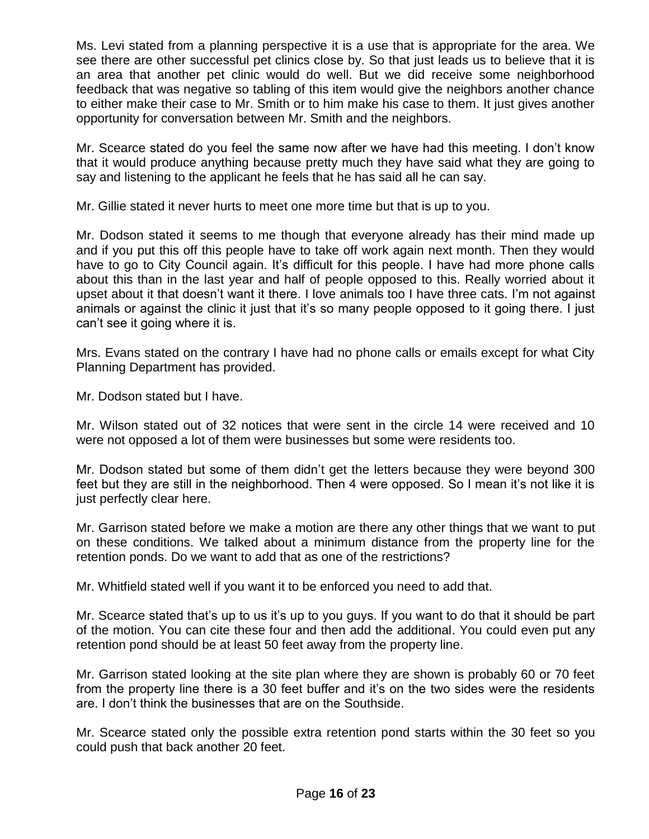Ms. Levi stated from a planning perspective it is a use that is appropriate for the area. We see there are other successful pet clinics close by. So that just leads us to believe that it is an area that another pet clinic would do well. But we did receive some neighborhood feedback that was negative so tabling of this item would give the neighbors another chance to either make their case to Mr. Smith or to him make his case to them. It just gives another opportunity for conversation between Mr. Smith and the neighbors.

Mr. Scearce stated do you feel the same now after we have had this meeting. I don't know that it would produce anything because pretty much they have said what they are going to say and listening to the applicant he feels that he has said all he can say.

Mr. Gillie stated it never hurts to meet one more time but that is up to you.

Mr. Dodson stated it seems to me though that everyone already has their mind made up and if you put this off this people have to take off work again next month. Then they would have to go to City Council again. It's difficult for this people. I have had more phone calls about this than in the last year and half of people opposed to this. Really worried about it upset about it that doesn't want it there. I love animals too I have three cats. I'm not against animals or against the clinic it just that it's so many people opposed to it going there. I just can't see it going where it is.

Mrs. Evans stated on the contrary I have had no phone calls or emails except for what City Planning Department has provided.

Mr. Dodson stated but I have.

Mr. Wilson stated out of 32 notices that were sent in the circle 14 were received and 10 were not opposed a lot of them were businesses but some were residents too.

Mr. Dodson stated but some of them didn't get the letters because they were beyond 300 feet but they are still in the neighborhood. Then 4 were opposed. So I mean it's not like it is just perfectly clear here.

Mr. Garrison stated before we make a motion are there any other things that we want to put on these conditions. We talked about a minimum distance from the property line for the retention ponds. Do we want to add that as one of the restrictions?

Mr. Whitfield stated well if you want it to be enforced you need to add that.

Mr. Scearce stated that's up to us it's up to you guys. If you want to do that it should be part of the motion. You can cite these four and then add the additional. You could even put any retention pond should be at least 50 feet away from the property line.

Mr. Garrison stated looking at the site plan where they are shown is probably 60 or 70 feet from the property line there is a 30 feet buffer and it's on the two sides were the residents are. I don't think the businesses that are on the Southside.

Mr. Scearce stated only the possible extra retention pond starts within the 30 feet so you could push that back another 20 feet.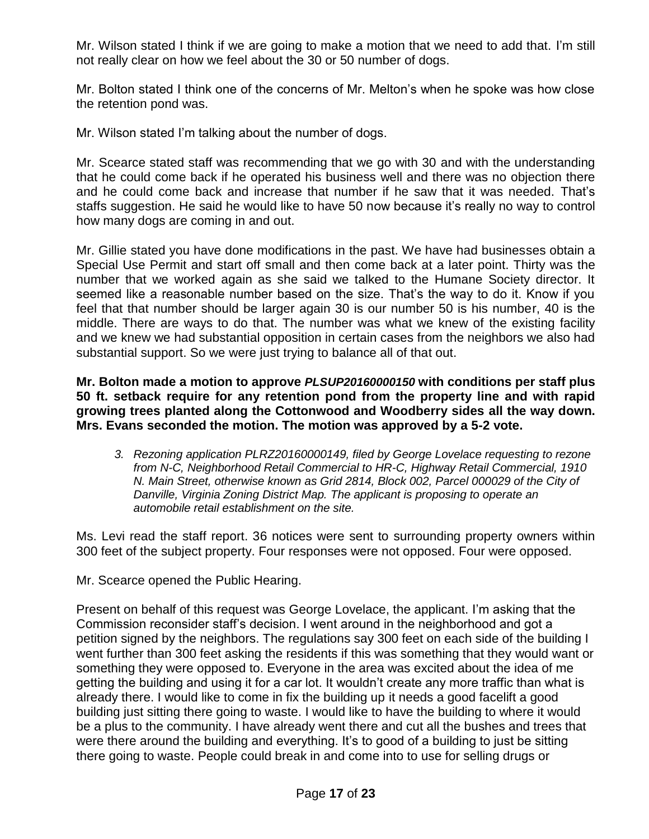Mr. Wilson stated I think if we are going to make a motion that we need to add that. I'm still not really clear on how we feel about the 30 or 50 number of dogs.

Mr. Bolton stated I think one of the concerns of Mr. Melton's when he spoke was how close the retention pond was.

Mr. Wilson stated I'm talking about the number of dogs.

Mr. Scearce stated staff was recommending that we go with 30 and with the understanding that he could come back if he operated his business well and there was no objection there and he could come back and increase that number if he saw that it was needed. That's staffs suggestion. He said he would like to have 50 now because it's really no way to control how many dogs are coming in and out.

Mr. Gillie stated you have done modifications in the past. We have had businesses obtain a Special Use Permit and start off small and then come back at a later point. Thirty was the number that we worked again as she said we talked to the Humane Society director. It seemed like a reasonable number based on the size. That's the way to do it. Know if you feel that that number should be larger again 30 is our number 50 is his number, 40 is the middle. There are ways to do that. The number was what we knew of the existing facility and we knew we had substantial opposition in certain cases from the neighbors we also had substantial support. So we were just trying to balance all of that out.

**Mr. Bolton made a motion to approve** *PLSUP20160000150* **with conditions per staff plus 50 ft. setback require for any retention pond from the property line and with rapid growing trees planted along the Cottonwood and Woodberry sides all the way down. Mrs. Evans seconded the motion. The motion was approved by a 5-2 vote.**

*3. Rezoning application PLRZ20160000149, filed by George Lovelace requesting to rezone from N-C, Neighborhood Retail Commercial to HR-C, Highway Retail Commercial, 1910 N. Main Street, otherwise known as Grid 2814, Block 002, Parcel 000029 of the City of Danville, Virginia Zoning District Map. The applicant is proposing to operate an automobile retail establishment on the site.* 

Ms. Levi read the staff report. 36 notices were sent to surrounding property owners within 300 feet of the subject property. Four responses were not opposed. Four were opposed.

Mr. Scearce opened the Public Hearing.

Present on behalf of this request was George Lovelace, the applicant. I'm asking that the Commission reconsider staff's decision. I went around in the neighborhood and got a petition signed by the neighbors. The regulations say 300 feet on each side of the building I went further than 300 feet asking the residents if this was something that they would want or something they were opposed to. Everyone in the area was excited about the idea of me getting the building and using it for a car lot. It wouldn't create any more traffic than what is already there. I would like to come in fix the building up it needs a good facelift a good building just sitting there going to waste. I would like to have the building to where it would be a plus to the community. I have already went there and cut all the bushes and trees that were there around the building and everything. It's to good of a building to just be sitting there going to waste. People could break in and come into to use for selling drugs or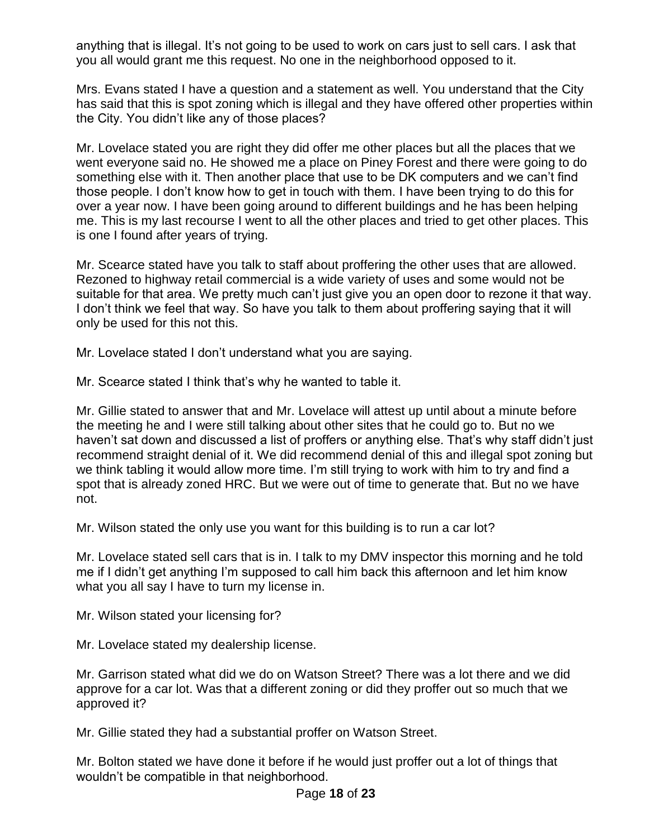anything that is illegal. It's not going to be used to work on cars just to sell cars. I ask that you all would grant me this request. No one in the neighborhood opposed to it.

Mrs. Evans stated I have a question and a statement as well. You understand that the City has said that this is spot zoning which is illegal and they have offered other properties within the City. You didn't like any of those places?

Mr. Lovelace stated you are right they did offer me other places but all the places that we went everyone said no. He showed me a place on Piney Forest and there were going to do something else with it. Then another place that use to be DK computers and we can't find those people. I don't know how to get in touch with them. I have been trying to do this for over a year now. I have been going around to different buildings and he has been helping me. This is my last recourse I went to all the other places and tried to get other places. This is one I found after years of trying.

Mr. Scearce stated have you talk to staff about proffering the other uses that are allowed. Rezoned to highway retail commercial is a wide variety of uses and some would not be suitable for that area. We pretty much can't just give you an open door to rezone it that way. I don't think we feel that way. So have you talk to them about proffering saying that it will only be used for this not this.

Mr. Lovelace stated I don't understand what you are saying.

Mr. Scearce stated I think that's why he wanted to table it.

Mr. Gillie stated to answer that and Mr. Lovelace will attest up until about a minute before the meeting he and I were still talking about other sites that he could go to. But no we haven't sat down and discussed a list of proffers or anything else. That's why staff didn't just recommend straight denial of it. We did recommend denial of this and illegal spot zoning but we think tabling it would allow more time. I'm still trying to work with him to try and find a spot that is already zoned HRC. But we were out of time to generate that. But no we have not.

Mr. Wilson stated the only use you want for this building is to run a car lot?

Mr. Lovelace stated sell cars that is in. I talk to my DMV inspector this morning and he told me if I didn't get anything I'm supposed to call him back this afternoon and let him know what you all say I have to turn my license in.

Mr. Wilson stated your licensing for?

Mr. Lovelace stated my dealership license.

Mr. Garrison stated what did we do on Watson Street? There was a lot there and we did approve for a car lot. Was that a different zoning or did they proffer out so much that we approved it?

Mr. Gillie stated they had a substantial proffer on Watson Street.

Mr. Bolton stated we have done it before if he would just proffer out a lot of things that wouldn't be compatible in that neighborhood.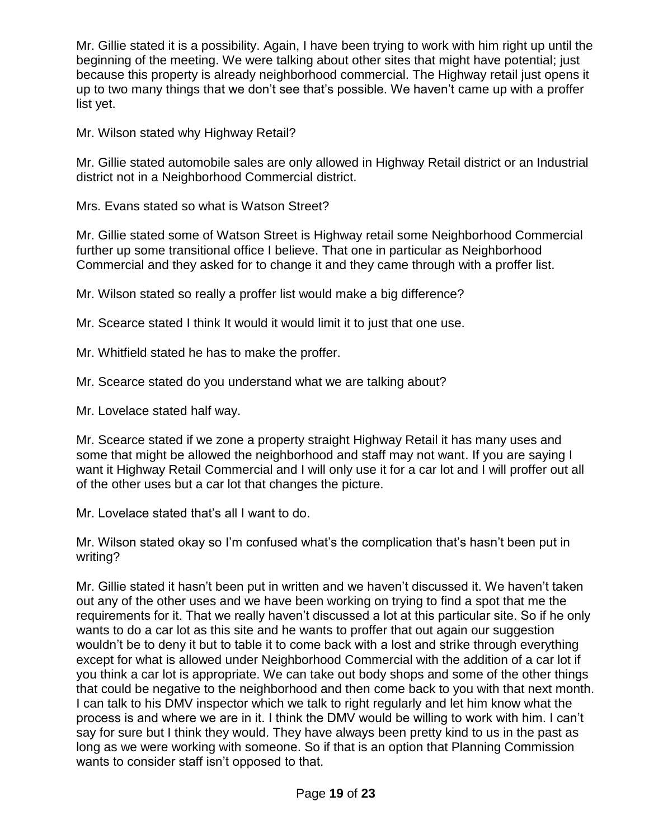Mr. Gillie stated it is a possibility. Again, I have been trying to work with him right up until the beginning of the meeting. We were talking about other sites that might have potential; just because this property is already neighborhood commercial. The Highway retail just opens it up to two many things that we don't see that's possible. We haven't came up with a proffer list yet.

Mr. Wilson stated why Highway Retail?

Mr. Gillie stated automobile sales are only allowed in Highway Retail district or an Industrial district not in a Neighborhood Commercial district.

Mrs. Evans stated so what is Watson Street?

Mr. Gillie stated some of Watson Street is Highway retail some Neighborhood Commercial further up some transitional office I believe. That one in particular as Neighborhood Commercial and they asked for to change it and they came through with a proffer list.

Mr. Wilson stated so really a proffer list would make a big difference?

Mr. Scearce stated I think It would it would limit it to just that one use.

Mr. Whitfield stated he has to make the proffer.

Mr. Scearce stated do you understand what we are talking about?

Mr. Lovelace stated half way.

Mr. Scearce stated if we zone a property straight Highway Retail it has many uses and some that might be allowed the neighborhood and staff may not want. If you are saying I want it Highway Retail Commercial and I will only use it for a car lot and I will proffer out all of the other uses but a car lot that changes the picture.

Mr. Lovelace stated that's all I want to do.

Mr. Wilson stated okay so I'm confused what's the complication that's hasn't been put in writing?

Mr. Gillie stated it hasn't been put in written and we haven't discussed it. We haven't taken out any of the other uses and we have been working on trying to find a spot that me the requirements for it. That we really haven't discussed a lot at this particular site. So if he only wants to do a car lot as this site and he wants to proffer that out again our suggestion wouldn't be to deny it but to table it to come back with a lost and strike through everything except for what is allowed under Neighborhood Commercial with the addition of a car lot if you think a car lot is appropriate. We can take out body shops and some of the other things that could be negative to the neighborhood and then come back to you with that next month. I can talk to his DMV inspector which we talk to right regularly and let him know what the process is and where we are in it. I think the DMV would be willing to work with him. I can't say for sure but I think they would. They have always been pretty kind to us in the past as long as we were working with someone. So if that is an option that Planning Commission wants to consider staff isn't opposed to that.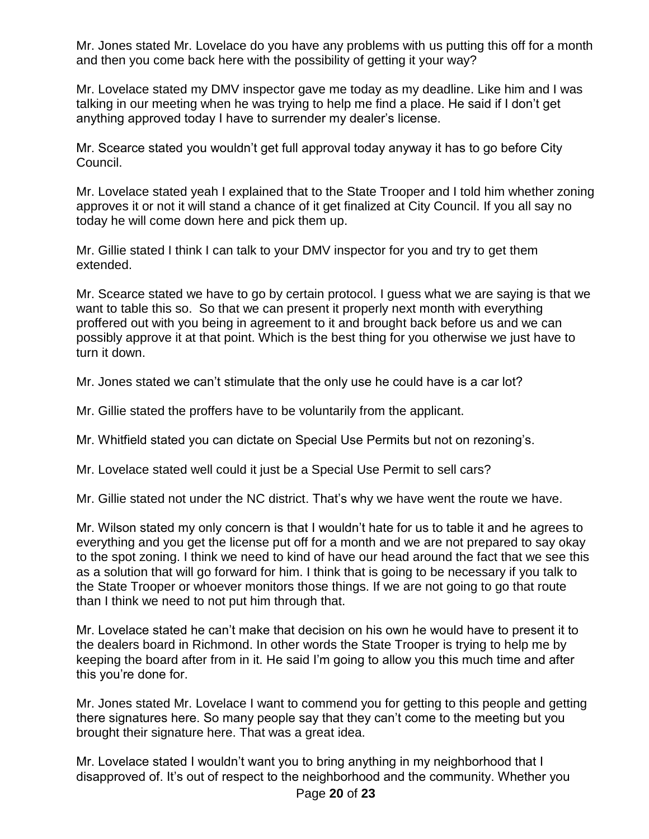Mr. Jones stated Mr. Lovelace do you have any problems with us putting this off for a month and then you come back here with the possibility of getting it your way?

Mr. Lovelace stated my DMV inspector gave me today as my deadline. Like him and I was talking in our meeting when he was trying to help me find a place. He said if I don't get anything approved today I have to surrender my dealer's license.

Mr. Scearce stated you wouldn't get full approval today anyway it has to go before City Council.

Mr. Lovelace stated yeah I explained that to the State Trooper and I told him whether zoning approves it or not it will stand a chance of it get finalized at City Council. If you all say no today he will come down here and pick them up.

Mr. Gillie stated I think I can talk to your DMV inspector for you and try to get them extended.

Mr. Scearce stated we have to go by certain protocol. I guess what we are saying is that we want to table this so. So that we can present it properly next month with everything proffered out with you being in agreement to it and brought back before us and we can possibly approve it at that point. Which is the best thing for you otherwise we just have to turn it down.

Mr. Jones stated we can't stimulate that the only use he could have is a car lot?

Mr. Gillie stated the proffers have to be voluntarily from the applicant.

Mr. Whitfield stated you can dictate on Special Use Permits but not on rezoning's.

Mr. Lovelace stated well could it just be a Special Use Permit to sell cars?

Mr. Gillie stated not under the NC district. That's why we have went the route we have.

Mr. Wilson stated my only concern is that I wouldn't hate for us to table it and he agrees to everything and you get the license put off for a month and we are not prepared to say okay to the spot zoning. I think we need to kind of have our head around the fact that we see this as a solution that will go forward for him. I think that is going to be necessary if you talk to the State Trooper or whoever monitors those things. If we are not going to go that route than I think we need to not put him through that.

Mr. Lovelace stated he can't make that decision on his own he would have to present it to the dealers board in Richmond. In other words the State Trooper is trying to help me by keeping the board after from in it. He said I'm going to allow you this much time and after this you're done for.

Mr. Jones stated Mr. Lovelace I want to commend you for getting to this people and getting there signatures here. So many people say that they can't come to the meeting but you brought their signature here. That was a great idea.

Mr. Lovelace stated I wouldn't want you to bring anything in my neighborhood that I disapproved of. It's out of respect to the neighborhood and the community. Whether you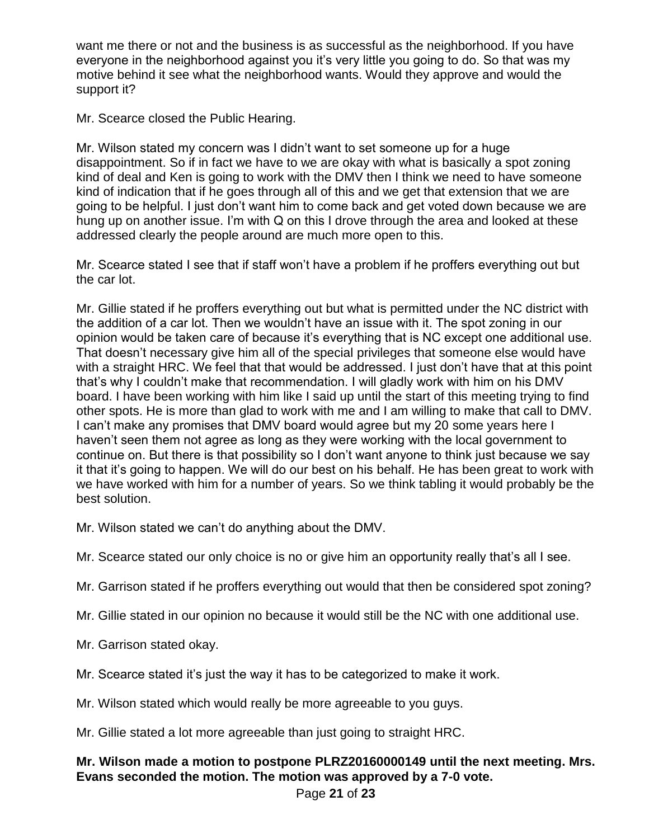want me there or not and the business is as successful as the neighborhood. If you have everyone in the neighborhood against you it's very little you going to do. So that was my motive behind it see what the neighborhood wants. Would they approve and would the support it?

Mr. Scearce closed the Public Hearing.

Mr. Wilson stated my concern was I didn't want to set someone up for a huge disappointment. So if in fact we have to we are okay with what is basically a spot zoning kind of deal and Ken is going to work with the DMV then I think we need to have someone kind of indication that if he goes through all of this and we get that extension that we are going to be helpful. I just don't want him to come back and get voted down because we are hung up on another issue. I'm with Q on this I drove through the area and looked at these addressed clearly the people around are much more open to this.

Mr. Scearce stated I see that if staff won't have a problem if he proffers everything out but the car lot.

Mr. Gillie stated if he proffers everything out but what is permitted under the NC district with the addition of a car lot. Then we wouldn't have an issue with it. The spot zoning in our opinion would be taken care of because it's everything that is NC except one additional use. That doesn't necessary give him all of the special privileges that someone else would have with a straight HRC. We feel that that would be addressed. I just don't have that at this point that's why I couldn't make that recommendation. I will gladly work with him on his DMV board. I have been working with him like I said up until the start of this meeting trying to find other spots. He is more than glad to work with me and I am willing to make that call to DMV. I can't make any promises that DMV board would agree but my 20 some years here I haven't seen them not agree as long as they were working with the local government to continue on. But there is that possibility so I don't want anyone to think just because we say it that it's going to happen. We will do our best on his behalf. He has been great to work with we have worked with him for a number of years. So we think tabling it would probably be the best solution.

Mr. Wilson stated we can't do anything about the DMV.

Mr. Scearce stated our only choice is no or give him an opportunity really that's all I see.

Mr. Garrison stated if he proffers everything out would that then be considered spot zoning?

Mr. Gillie stated in our opinion no because it would still be the NC with one additional use.

Mr. Garrison stated okay.

Mr. Scearce stated it's just the way it has to be categorized to make it work.

Mr. Wilson stated which would really be more agreeable to you guys.

Mr. Gillie stated a lot more agreeable than just going to straight HRC.

# **Mr. Wilson made a motion to postpone PLRZ20160000149 until the next meeting. Mrs. Evans seconded the motion. The motion was approved by a 7-0 vote.**

Page **21** of **23**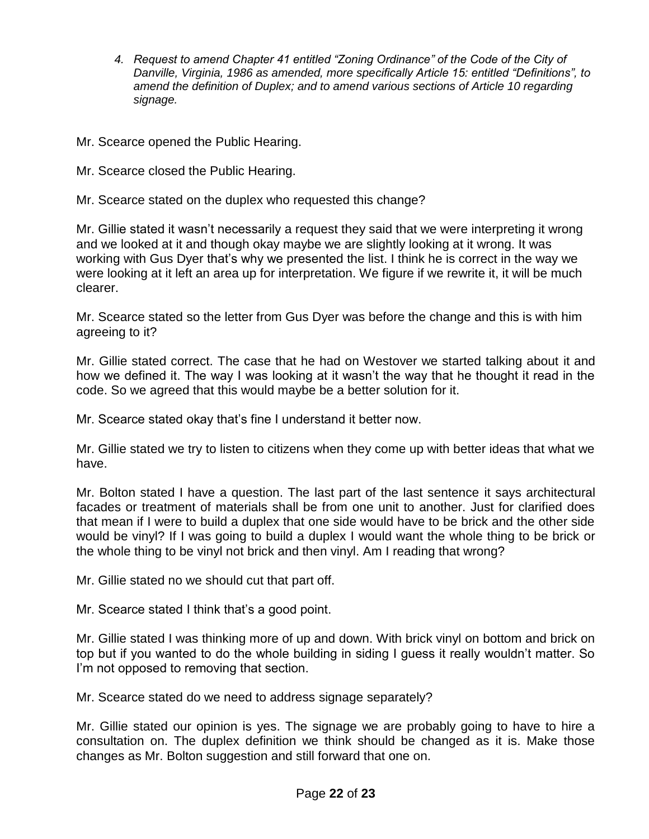- *4. Request to amend Chapter 41 entitled "Zoning Ordinance" of the Code of the City of Danville, Virginia, 1986 as amended, more specifically Article 15: entitled "Definitions", to amend the definition of Duplex; and to amend various sections of Article 10 regarding signage.*
- Mr. Scearce opened the Public Hearing.
- Mr. Scearce closed the Public Hearing.
- Mr. Scearce stated on the duplex who requested this change?

Mr. Gillie stated it wasn't necessarily a request they said that we were interpreting it wrong and we looked at it and though okay maybe we are slightly looking at it wrong. It was working with Gus Dyer that's why we presented the list. I think he is correct in the way we were looking at it left an area up for interpretation. We figure if we rewrite it, it will be much clearer.

Mr. Scearce stated so the letter from Gus Dyer was before the change and this is with him agreeing to it?

Mr. Gillie stated correct. The case that he had on Westover we started talking about it and how we defined it. The way I was looking at it wasn't the way that he thought it read in the code. So we agreed that this would maybe be a better solution for it.

Mr. Scearce stated okay that's fine I understand it better now.

Mr. Gillie stated we try to listen to citizens when they come up with better ideas that what we have.

Mr. Bolton stated I have a question. The last part of the last sentence it says architectural facades or treatment of materials shall be from one unit to another. Just for clarified does that mean if I were to build a duplex that one side would have to be brick and the other side would be vinyl? If I was going to build a duplex I would want the whole thing to be brick or the whole thing to be vinyl not brick and then vinyl. Am I reading that wrong?

Mr. Gillie stated no we should cut that part off.

Mr. Scearce stated I think that's a good point.

Mr. Gillie stated I was thinking more of up and down. With brick vinyl on bottom and brick on top but if you wanted to do the whole building in siding I guess it really wouldn't matter. So I'm not opposed to removing that section.

Mr. Scearce stated do we need to address signage separately?

Mr. Gillie stated our opinion is yes. The signage we are probably going to have to hire a consultation on. The duplex definition we think should be changed as it is. Make those changes as Mr. Bolton suggestion and still forward that one on.